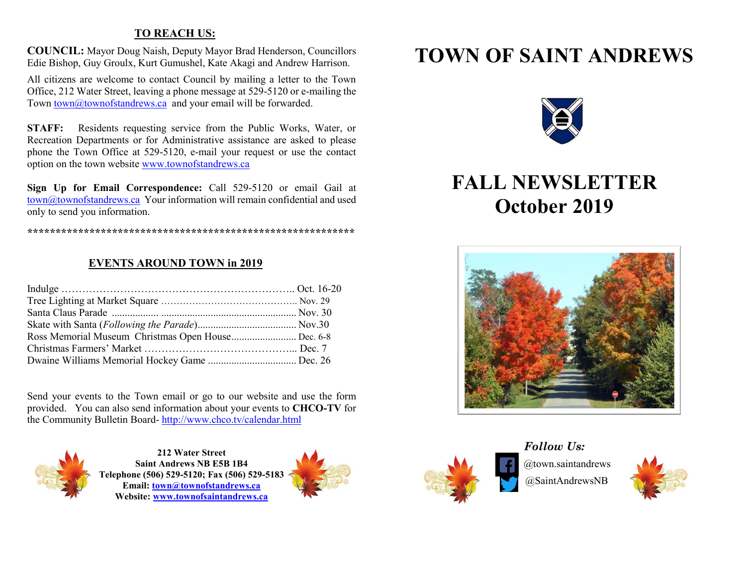#### **TO REACH US:**

**COUNCIL:** Mayor Doug Naish, Deputy Mayor Brad Henderson, Councillors Edie Bishop, Guy Groulx, Kurt Gumushel, Kate Akagi and Andrew Harrison.

All citizens are welcome to contact Council by mailing a letter to the Town Office, 212 Water Street, leaving a phone message at 529-5120 or e-mailing the Town [town@townofstandrews.ca](mailto:town@townofstandrews.ca) and your email will be forwarded.

**STAFF:** Residents requesting service from the Public Works, Water, or Recreation Departments or for Administrative assistance are asked to please phone the Town Office at 529-5120, e-mail your request or use the contact option on the town websit[e www.townofstandrews.ca](http://www.townofstandrews.ca/)

**Sign Up for Email Correspondence:** Call 529-5120 or email Gail at [town@townofstandrews.ca](mailto:town@townofstandrews.ca) Your information will remain confidential and used only to send you information.

**\*\*\*\*\*\*\*\*\*\*\*\*\*\*\*\*\*\*\*\*\*\*\*\*\*\*\*\*\*\*\*\*\*\*\*\*\*\*\*\*\*\*\*\*\*\*\*\*\*\*\*\*\*\*\*\*\*\***

#### **EVENTS AROUND TOWN in 2019**

| Ross Memorial Museum Christmas Open House Dec. 6-8 |
|----------------------------------------------------|
|                                                    |
|                                                    |
|                                                    |

Send your events to the Town email or go to our website and use the form provided. You can also send information about your events to **CHCO-TV** for the Community Bulletin Board- <http://www.chco.tv/calendar.html>



**212 Water Street Saint Andrews NB E5B 1B4 Telephone (506) 529-5120; Fax (506) 529-5183 Email: [town@townofstandrews.ca](mailto:town@townofstandrews.ca) Website: [www.townofsaintandrews.ca](http://www.townofsaintandrews.ca/)** 



## **TOWN OF SAINT ANDREWS**



## **FALL NEWSLETTER October 2019**





@town.saintandrews @SaintAndrewsNB *Follow Us:*

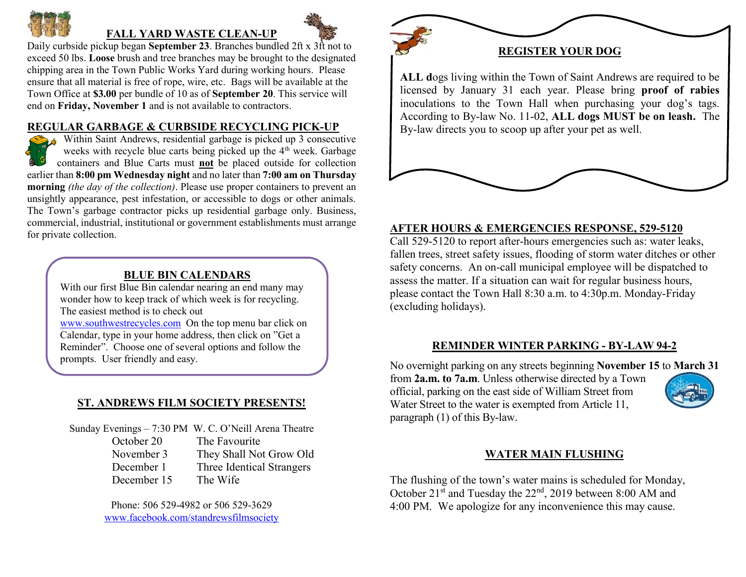

### **FALL YARD WASTE CLEAN-UP**

Daily curbside pickup began **September 23**. Branches bundled 2ft x 3ft not to exceed 50 lbs. **Loose** brush and tree branches may be brought to the designated chipping area in the Town Public Works Yard during working hours. Please ensure that all material is free of rope, wire, etc. Bags will be available at the Town Office at **\$3.00** per bundle of 10 as of **September 20**. This service will end on **Friday, November 1** and is not available to contractors.

#### **REGULAR GARBAGE & CURBSIDE RECYCLING PICK-UP**

Within Saint Andrews, residential garbage is picked up 3 consecutive weeks with recycle blue carts being picked up the  $4<sup>th</sup>$  week. Garbage containers and Blue Carts must **not** be placed outside for collection earlier than **8:00 pm Wednesday night** and no later than **7:00 am on Thursday morning** *(the day of the collection)*. Please use proper containers to prevent an unsightly appearance, pest infestation, or accessible to dogs or other animals. The Town's garbage contractor picks up residential garbage only. Business, commercial, industrial, institutional or government establishments must arrange for private collection.

#### **BLUE BIN CALENDARS**

With our first Blue Bin calendar nearing an end many may wonder how to keep track of which week is for recycling. The easiest method is to check out

[www.southwestrecycles.com](http://www.southwestrecycles.com/) On the top menu bar click on Calendar, type in your home address, then click on "Get a Reminder". Choose one of several options and follow the prompts. User friendly and easy.

#### **ST. ANDREWS FILM SOCIETY PRESENTS!**

#### Sunday Evenings – 7:30 PM W. C. O'Neill Arena Theatre

October 20 The Favourite

- November 3 They Shall Not Grow Old
- December 1 Three Identical Strangers
- December 15 The Wife

Phone: 506 529-4982 or 506 529-3629 [www.facebook.com/standrewsfilmsociety](http://www.facebook.com/standrewsfilmsociety)

# **REGISTER YOUR DOG**

**ALL d**ogs living within the Town of Saint Andrews are required to be licensed by January 31 each year. Please bring **proof of rabies** inoculations to the Town Hall when purchasing your dog's tags. According to By-law No. 11-02, **ALL dogs MUST be on leash.** The By-law directs you to scoop up after your pet as well.

#### **AFTER HOURS & EMERGENCIES RESPONSE, 529-5120**

Call 529-5120 to report after-hours emergencies such as: water leaks, fallen trees, street safety issues, flooding of storm water ditches or other safety concerns. An on-call municipal employee will be dispatched to assess the matter. If a situation can wait for regular business hours, please contact the Town Hall 8:30 a.m. to 4:30p.m. Monday-Friday (excluding holidays).

#### **REMINDER WINTER PARKING - BY-LAW 94-2**

No overnight parking on any streets beginning **November 15** to **March 31** from **2a.m. to 7a.m**. Unless otherwise directed by a Town official, parking on the east side of William Street from Water Street to the water is exempted from Article 11, paragraph (1) of this By-law.

#### **WATER MAIN FLUSHING**

The flushing of the town's water mains is scheduled for Monday, October 21<sup>st</sup> and Tuesday the 22<sup>nd</sup>, 2019 between 8:00 AM and 4:00 PM. We apologize for any inconvenience this may cause.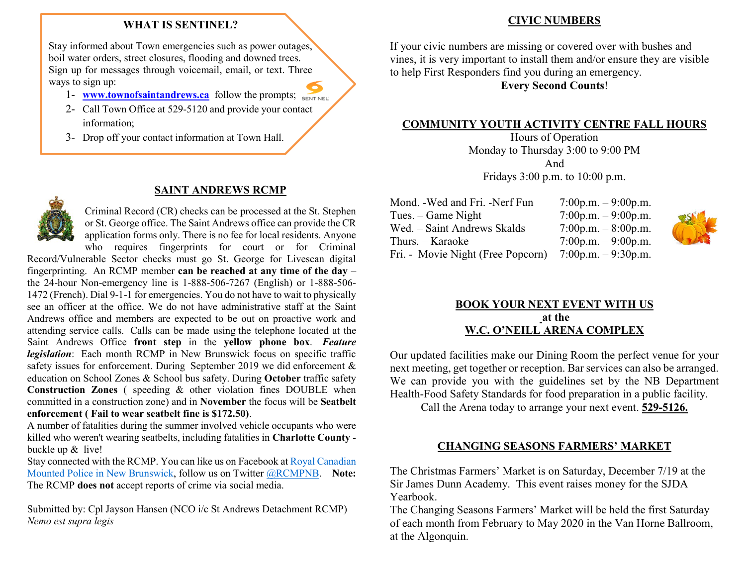#### **WHAT IS SENTINEL?**

Stay informed about Town emergencies such as power outages, boil water orders, street closures, flooding and downed trees. Sign up for messages through voicemail, email, or text. Three ways to sign up:

- 1- **[www.townofsaintandrews.ca](http://www.townofsaintandrews.ca/)** follow the prompts; SENTINEL
- 2- Call Town Office at 529-5120 and provide your contact information;
- 3- Drop off your contact information at Town Hall.

#### **SAINT ANDREWS RCMP**



Criminal Record (CR) checks can be processed at the St. Stephen or St. George office. The Saint Andrews office can provide the CR application forms only. There is no fee for local residents. Anyone

who requires fingerprints for court or for Criminal Record/Vulnerable Sector checks must go St. George for Livescan digital fingerprinting. An RCMP member **can be reached at any time of the day** – the 24-hour Non-emergency line is 1-888-506-7267 (English) or 1-888-506- 1472 (French). Dial 9-1-1 for emergencies. You do not have to wait to physically see an officer at the office. We do not have administrative staff at the Saint Andrews office and members are expected to be out on proactive work and attending service calls. Calls can be made using the telephone located at the Saint Andrews Office **front step** in the **yellow phone box**. *Feature legislation*: Each month RCMP in New Brunswick focus on specific traffic safety issues for enforcement. During September 2019 we did enforcement & education on School Zones & School bus safety. During **October** traffic safety **Construction Zones** ( speeding & other violation fines DOUBLE when committed in a construction zone) and in **November** the focus will be **Seatbelt enforcement ( Fail to wear seatbelt fine is \$172.50)**.

A number of fatalities during the summer involved vehicle occupants who were killed who weren't wearing seatbelts, including fatalities in **Charlotte County** buckle up & live!

Stay connected with the RCMP. You can like us on Facebook at [Royal Canadian](http://www.facebook.com/rcmpnb)  [Mounted Police in New Brunswick,](http://www.facebook.com/rcmpnb) follow us on Twitter [@RCMPNB.](http://www.twitter.com/rcmpnb) **Note:**  The RCMP **does not** accept reports of crime via social media.

Submitted by: Cpl Jayson Hansen (NCO i/c St Andrews Detachment RCMP) *Nemo est supra legis*

#### **CIVIC NUMBERS**

If your civic numbers are missing or covered over with bushes and vines, it is very important to install them and/or ensure they are visible to help First Responders find you during an emergency.

**Every Second Counts**!

#### **COMMUNITY YOUTH ACTIVITY CENTRE FALL HOURS**

Hours of Operation Monday to Thursday 3:00 to 9:00 PM And Fridays 3:00 p.m. to 10:00 p.m.

| Mond. - Wed and Fri. - Nerf Fun   | 7:00p.m. $-9:00$ p.m. |
|-----------------------------------|-----------------------|
| Tues. – Game Night                | $7:00p.m. - 9:00p.m.$ |
| Wed. - Saint Andrews Skalds       | 7:00p.m. $-8:00$ p.m. |
| Thurs. – Karaoke                  | 7:00p.m. $-9:00$ p.m. |
| Fri. - Movie Night (Free Popcorn) | 7:00p.m. $-9:30$ p.m. |



#### **BOOK YOUR NEXT EVENT WITH US at the W.C. O'NEILL ARENA COMPLEX**

Our updated facilities make our Dining Room the perfect venue for your next meeting, get together or reception. Bar services can also be arranged. We can provide you with the guidelines set by the NB Department Health-Food Safety Standards for food preparation in a public facility.

Call the Arena today to arrange your next event. **529-5126.**

#### **CHANGING SEASONS FARMERS' MARKET**

The Christmas Farmers' Market is on Saturday, December 7/19 at the Sir James Dunn Academy. This event raises money for the SJDA Yearbook.

The Changing Seasons Farmers' Market will be held the first Saturday of each month from February to May 2020 in the Van Horne Ballroom, at the Algonquin.